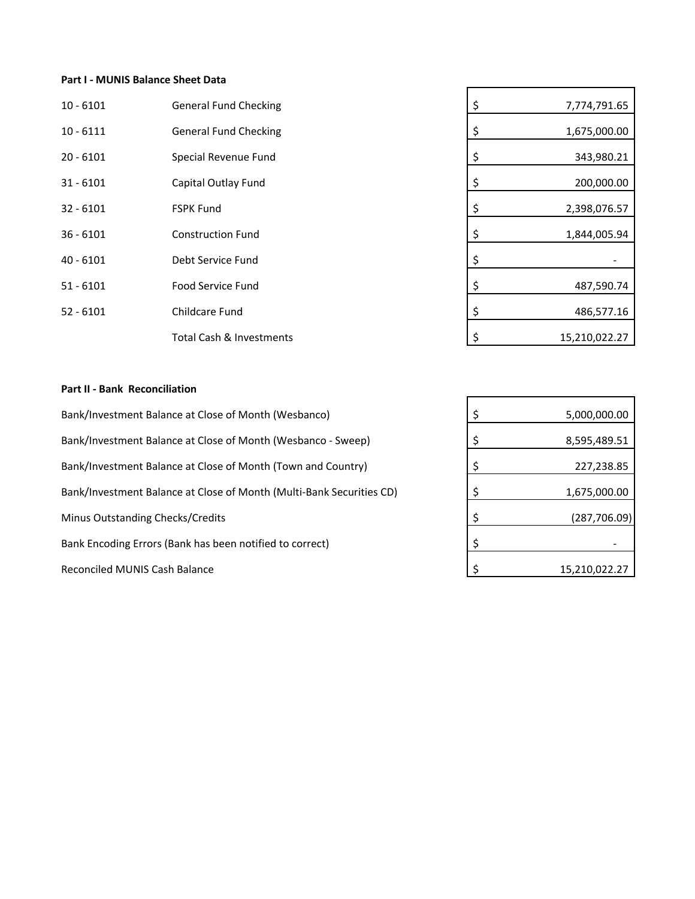## **Part I - MUNIS Balance Sheet Data**

| $10 - 6101$ | <b>General Fund Checking</b> | \$ | 7,774,791.65  |
|-------------|------------------------------|----|---------------|
| $10 - 6111$ | <b>General Fund Checking</b> | Ş  | 1,675,000.00  |
| $20 - 6101$ | Special Revenue Fund         |    | 343,980.21    |
| $31 - 6101$ | Capital Outlay Fund          |    | 200,000.00    |
| $32 - 6101$ | <b>FSPK Fund</b>             |    | 2,398,076.57  |
| $36 - 6101$ | <b>Construction Fund</b>     |    | 1,844,005.94  |
| $40 - 6101$ | Debt Service Fund            |    |               |
| $51 - 6101$ | <b>Food Service Fund</b>     |    | 487,590.74    |
| $52 - 6101$ | Childcare Fund               |    | 486,577.16    |
|             | Total Cash & Investments     |    | 15,210,022.27 |

| \$<br>7,774,791.65  |
|---------------------|
| \$<br>1,675,000.00  |
| \$<br>343,980.21    |
| \$<br>200,000.00    |
| \$<br>2,398,076.57  |
| \$<br>1,844,005.94  |
| \$                  |
| \$<br>487,590.74    |
| \$<br>486,577.16    |
| \$<br>15,210,022.27 |

## **Part II - Bank Reconciliation**

Bank/Investment Balance at Close of Month (Wesbanco) Bank/Investment Balance at Close of Month (Wesbanco - Sweep) Bank/Investment Balance at Close of Month (Multi-Bank Securities CD) Minus Outstanding Checks/Credits Bank Encoding Errors (Bank has been notified to correct) Reconciled MUNIS Cash Balance Bank/Investment Balance at Close of Month (Town and Country)

| \$<br>5,000,000.00  |
|---------------------|
| \$<br>8,595,489.51  |
| \$<br>227,238.85    |
| \$<br>1,675,000.00  |
| \$<br>(287, 706.09) |
| \$                  |
| \$<br>15,210,022.27 |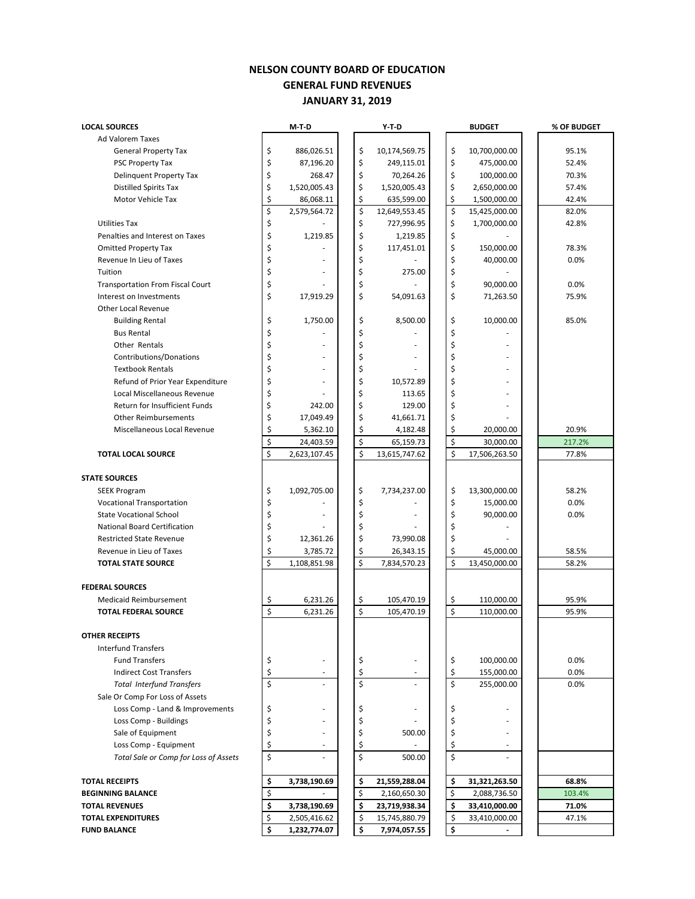## **NELSON COUNTY BOARD OF EDUCATION GENERAL FUND REVENUES JANUARY 31, 2019**

| <b>LOCAL SOURCES</b>                    |          | M-T-D        |  |    | $Y-T-D$       |  | <b>BUDGET</b>      |               | % OF BUDGET |
|-----------------------------------------|----------|--------------|--|----|---------------|--|--------------------|---------------|-------------|
| Ad Valorem Taxes                        |          |              |  |    |               |  |                    |               |             |
| <b>General Property Tax</b>             | \$       | 886,026.51   |  | \$ | 10,174,569.75 |  | \$                 | 10,700,000.00 | 95.1%       |
| PSC Property Tax                        | \$       | 87,196.20    |  | \$ | 249,115.01    |  | \$                 | 475,000.00    | 52.4%       |
| <b>Delinquent Property Tax</b>          |          | 268.47       |  | \$ | 70,264.26     |  | \$                 | 100,000.00    | 70.3%       |
| <b>Distilled Spirits Tax</b>            |          | 1,520,005.43 |  | \$ | 1,520,005.43  |  | \$                 | 2,650,000.00  | 57.4%       |
| <b>Motor Vehicle Tax</b>                |          | 86,068.11    |  | \$ | 635,599.00    |  | \$                 | 1,500,000.00  | 42.4%       |
|                                         |          | 2,579,564.72 |  | \$ | 12,649,553.45 |  | $\boldsymbol{\xi}$ | 15,425,000.00 | 82.0%       |
| <b>Utilities Tax</b>                    | \$       |              |  | \$ | 727,996.95    |  | \$                 | 1,700,000.00  | 42.8%       |
| Penalties and Interest on Taxes         | \$       | 1,219.85     |  | \$ | 1,219.85      |  | \$                 |               |             |
| <b>Omitted Property Tax</b>             | \$       |              |  | \$ | 117,451.01    |  | \$                 | 150,000.00    | 78.3%       |
| Revenue In Lieu of Taxes                | \$       |              |  | \$ |               |  | \$                 | 40,000.00     | 0.0%        |
| Tuition                                 | \$       |              |  | \$ | 275.00        |  | \$                 |               |             |
| <b>Transportation From Fiscal Court</b> | \$       |              |  | \$ |               |  | \$                 | 90,000.00     | 0.0%        |
| Interest on Investments                 | \$       | 17,919.29    |  | \$ | 54,091.63     |  | \$                 | 71,263.50     | 75.9%       |
| Other Local Revenue                     |          |              |  |    |               |  |                    |               |             |
| <b>Building Rental</b>                  | \$       | 1,750.00     |  | \$ | 8,500.00      |  | \$                 | 10,000.00     | 85.0%       |
| <b>Bus Rental</b>                       | \$       |              |  | \$ |               |  | \$                 |               |             |
| Other Rentals                           | \$       |              |  | \$ |               |  | \$                 |               |             |
| Contributions/Donations                 | \$       |              |  | \$ |               |  | \$                 |               |             |
| <b>Textbook Rentals</b>                 | \$       |              |  | \$ |               |  | \$                 |               |             |
| Refund of Prior Year Expenditure        | \$       |              |  | \$ | 10,572.89     |  | \$                 |               |             |
| Local Miscellaneous Revenue             | \$       |              |  | \$ | 113.65        |  | \$                 |               |             |
| Return for Insufficient Funds           | \$       | 242.00       |  | \$ | 129.00        |  | \$                 |               |             |
| <b>Other Reimbursements</b>             | \$       | 17,049.49    |  | \$ | 41,661.71     |  | \$                 |               |             |
| Miscellaneous Local Revenue             | \$<br>\$ | 5,362.10     |  | \$ | 4,182.48      |  | \$                 | 20,000.00     | 20.9%       |
|                                         |          | 24,403.59    |  | \$ | 65,159.73     |  | \$                 | 30,000.00     | 217.2%      |
| <b>TOTAL LOCAL SOURCE</b>               | \$       | 2,623,107.45 |  | \$ | 13,615,747.62 |  | \$                 | 17,506,263.50 | 77.8%       |
|                                         |          |              |  |    |               |  |                    |               |             |
| <b>STATE SOURCES</b>                    |          |              |  |    |               |  |                    |               |             |
| <b>SEEK Program</b>                     | \$       | 1,092,705.00 |  | \$ | 7,734,237.00  |  | \$                 | 13,300,000.00 | 58.2%       |
| Vocational Transportation               | \$<br>\$ |              |  | \$ |               |  | \$                 | 15,000.00     | 0.0%        |
| <b>State Vocational School</b>          |          |              |  | \$ |               |  | \$                 | 90,000.00     | 0.0%        |
| National Board Certification            |          |              |  | \$ |               |  | \$                 |               |             |
| <b>Restricted State Revenue</b>         |          | 12,361.26    |  | \$ | 73,990.08     |  | \$                 |               |             |
| Revenue in Lieu of Taxes                |          | 3,785.72     |  | \$ | 26,343.15     |  | \$                 | 45,000.00     | 58.5%       |
| <b>TOTAL STATE SOURCE</b>               | \$       | 1,108,851.98 |  | \$ | 7,834,570.23  |  | \$                 | 13,450,000.00 | 58.2%       |
| <b>FEDERAL SOURCES</b>                  |          |              |  |    |               |  |                    |               |             |
| <b>Medicaid Reimbursement</b>           | \$       | 6,231.26     |  | \$ | 105,470.19    |  | \$                 | 110,000.00    | 95.9%       |
| <b>TOTAL FEDERAL SOURCE</b>             | \$       | 6,231.26     |  | \$ | 105,470.19    |  | \$                 | 110,000.00    | 95.9%       |
|                                         |          |              |  |    |               |  |                    |               |             |
| <b>OTHER RECEIPTS</b>                   |          |              |  |    |               |  |                    |               |             |
| <b>Interfund Transfers</b>              |          |              |  |    |               |  |                    |               |             |
| <b>Fund Transfers</b>                   | \$       | ٠            |  | \$ |               |  | \$                 | 100,000.00    | 0.0%        |
| <b>Indirect Cost Transfers</b>          | \$       | $\sim$       |  | \$ |               |  | \$                 | 155,000.00    | 0.0%        |
| <b>Total Interfund Transfers</b>        | \$       |              |  | \$ |               |  | Ś                  | 255,000.00    | 0.0%        |
| Sale Or Comp For Loss of Assets         |          |              |  |    |               |  |                    |               |             |
| Loss Comp - Land & Improvements         | \$       | ÷,           |  | \$ |               |  |                    |               |             |
| Loss Comp - Buildings                   | \$       |              |  | \$ |               |  | \$                 |               |             |
| Sale of Equipment                       | \$       | ٠            |  | \$ | 500.00        |  | \$                 |               |             |
| Loss Comp - Equipment                   | \$       | ÷,           |  | \$ |               |  | \$                 |               |             |
| Total Sale or Comp for Loss of Assets   | \$       |              |  | \$ | 500.00        |  | \$                 |               |             |
| <b>TOTAL RECEIPTS</b>                   | \$       | 3,738,190.69 |  | \$ | 21,559,288.04 |  | \$                 | 31,321,263.50 | 68.8%       |
| <b>BEGINNING BALANCE</b>                |          |              |  | \$ | 2,160,650.30  |  | \$                 | 2,088,736.50  | 103.4%      |
| <b>TOTAL REVENUES</b>                   |          | 3,738,190.69 |  | \$ | 23,719,938.34 |  | \$                 | 33,410,000.00 | 71.0%       |
| <b>TOTAL EXPENDITURES</b>               | \$<br>\$ | 2,505,416.62 |  | \$ | 15,745,880.79 |  | \$                 | 33,410,000.00 | 47.1%       |
| <b>FUND BALANCE</b>                     | \$       | 1,232,774.07 |  | \$ | 7,974,057.55  |  | \$                 |               |             |
|                                         |          |              |  |    |               |  |                    |               |             |